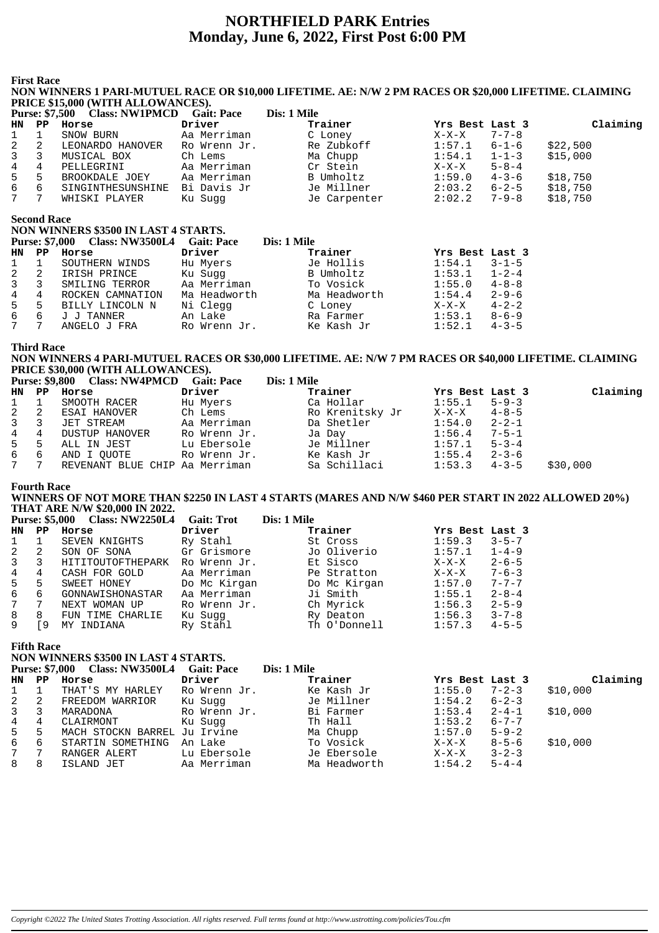# **NORTHFIELD PARK Entries Monday, June 6, 2022, First Post 6:00 PM**

**First Race**

#### **NON WINNERS 1 PARI-MUTUEL RACE OR \$10,000 LIFETIME. AE: N/W 2 PM RACES OR \$20,000 LIFETIME. CLAIMING PRICE \$15,000 (WITH ALLOWANCES).**

|              | <b>Purse: \$7,500</b> | <b>Class: NW1PMCD</b> | <b>Gait: Pace</b> | Dis: 1 Mile  |                 |             |          |
|--------------|-----------------------|-----------------------|-------------------|--------------|-----------------|-------------|----------|
| HN PP        |                       | Horse                 | Driver            | Trainer      | Yrs Best Last 3 |             | Claiming |
| $\mathbf{1}$ |                       | SNOW BURN             | Aa Merriman       | C Loney      | $X-X-X$         | $7 - 7 - 8$ |          |
| 2            | -2                    | LEONARDO HANOVER      | Ro Wrenn Jr.      | Re Zubkoff   | 1:57.1          | $6 - 1 - 6$ | \$22,500 |
| 3            |                       | MUSICAL BOX           | Ch Lems           | Ma Chupp     | 1:54.1          | $1 - 1 - 3$ | \$15,000 |
| 4            | 4                     | PELLEGRINI            | Aa Merriman       | Cr Stein     | X-X-X           | $5 - 8 - 4$ |          |
| 5            | 5                     | BROOKDALE JOEY        | Aa Merriman       | B Umholtz    | 1:59.0          | $4 - 3 - 6$ | \$18,750 |
| 6            | 6                     | SINGINTHESUNSHINE     | Bi Davis Jr       | Je Millner   | 2:03.2          | $6 - 2 - 5$ | \$18,750 |
| $7^{\circ}$  |                       | WHISKI PLAYER         | Ku Sugg           | Je Carpenter | 2:02.2          | $7 - 9 - 8$ | \$18,750 |

**Second Race**

|                 | seconu ixacc   |                                           |              |              |                 |             |
|-----------------|----------------|-------------------------------------------|--------------|--------------|-----------------|-------------|
|                 |                | NON WINNERS \$3500 IN LAST 4 STARTS.      |              |              |                 |             |
|                 |                | Purse: \$7,000 Class: NW3500L4 Gait: Pace |              | Dis: 1 Mile  |                 |             |
| HN.             | PP <sup></sup> | Horse                                     | Driver       | Trainer      | Yrs Best Last 3 |             |
| $1 \quad 1$     |                | SOUTHERN WINDS                            | Hu Myers     | Je Hollis    | 1:54.1          | $3 - 1 - 5$ |
| $2 \quad 2$     |                | IRISH PRINCE                              | Ku Suqq      | B Umholtz    | 1:53.1          | $1 - 2 - 4$ |
| $3^{\circ}$     | 3              | SMILING TERROR                            | Aa Merriman  | To Vosick    | 1:55.0          | $4 - 8 - 8$ |
| $4\overline{ }$ | 4              | ROCKEN CAMNATION                          | Ma Headworth | Ma Headworth | 1:54.4          | $2 - 9 - 6$ |
| $5 -$           | 5              | BILLY LINCOLN N                           | Ni Clegg     | C Loney      | $X-X-X$         | $4 - 2 - 2$ |
| 6               | 6              | J J TANNER                                | An Lake      | Ra Farmer    | 1:53.1          | $8 - 6 - 9$ |
| $7\phantom{0}$  |                | ANGELO J FRA                              | Ro Wrenn Jr. | Ke Kash Jr   | 1:52.1          | $4 - 3 - 5$ |
|                 |                |                                           |              |              |                 |             |

#### **Third Race**

#### **NON WINNERS 4 PARI-MUTUEL RACES OR \$30,000 LIFETIME. AE: N/W 7 PM RACES OR \$40,000 LIFETIME. CLAIMING PRICE \$30,000 (WITH ALLOWANCES).**

|             | Purse: \$9,800 Class: NW4PMCD Gait: Pace |              | Dis: 1 Mile     |                  |             |          |
|-------------|------------------------------------------|--------------|-----------------|------------------|-------------|----------|
|             | HN PP Horse                              | Driver       | Trainer         | Yrs Best Last 3  |             | Claiming |
| $1 \quad 1$ | SMOOTH RACER                             | Hu Myers     | Ca Hollar       | 1:55.1           | $5 - 9 - 3$ |          |
| 2 2         | ESAI HANOVER                             | Ch Lems      | Ro Krenitsky Jr | X-X-X 4-8-5      |             |          |
| $3 \quad 3$ | JET STREAM                               | Aa Merriman  | Da Shetler      | 1:54.0           | $2 - 2 - 1$ |          |
| 4 4         | DUSTUP HANOVER                           | Ro Wrenn Jr. | Ja Day          | 1:56.4           | 7-5-1       |          |
| 5 5         | ALL IN JEST                              | Lu Ebersole  | Je Millner      | 1:57.1           | $5 - 3 - 4$ |          |
|             | 6 6 AND I OUOTE                          | Ro Wrenn Jr. | Ke Kash Jr      | 1:55.4           | $2 - 3 - 6$ |          |
| 7 7         | REVENANT BLUE CHIP Aa Merriman           |              | Sa Schillaci    | $1:53.3$ $4-3-5$ |             | \$30,000 |

#### **Fourth Race**

#### **WINNERS OF NOT MORE THAN \$2250 IN LAST 4 STARTS (MARES AND N/W \$460 PER START IN 2022 ALLOWED 20%) THAT ARE N/W \$20,000 IN 2022.**

|                |             | <b>Purse: \$5,000 Class: NW2250L4</b> | <b>Gait: Trot</b> | Dis: 1 Mile  |                        |
|----------------|-------------|---------------------------------------|-------------------|--------------|------------------------|
| <b>HN</b>      | $_{\rm PP}$ | Horse                                 | Driver            | Trainer      | Yrs Best Last 3        |
|                |             | SEVEN KNIGHTS                         | Ry Stahl          | St Cross     | 1:59.3<br>$3 - 5 - 7$  |
| 2              | 2           | SON OF SONA                           | Gr Grismore       | Jo Oliverio  | 1:57.1<br>$1 - 4 - 9$  |
| $\mathbf{3}$   | 3           | HITITOUTOFTHEPARK                     | Ro Wrenn Jr.      | Et Sisco     | $2 - 6 - 5$<br>$X-X-X$ |
| $\overline{4}$ | 4           | CASH FOR GOLD                         | Aa Merriman       | Pe Stratton  | $7 - 6 - 3$<br>$X-X-X$ |
| 5 <sup>5</sup> | 5           | SWEET HONEY                           | Do Mc Kirgan      | Do Mc Kirgan | $7 - 7 - 7$<br>1:57.0  |
| 6              | 6           | GONNAWISHONASTAR                      | Aa Merriman       | Ji Smith     | $2 - 8 - 4$<br>1:55.1  |
|                | 7           | NEXT WOMAN UP                         | Ro Wrenn Jr.      | Ch Myrick    | $2 - 5 - 9$<br>1:56.3  |
| 8              | 8           | FUN TIME CHARLIE                      | Ku Sugg           | Ry Deaton    | 1:56.3<br>$3 - 7 - 8$  |
| 9              | 9           | INDIANA<br>MY.                        | Ry Stahl          | Th O'Donnell | 1:57.3<br>$4 - 5 - 5$  |

**Fifth Race**

## **NON WINNERS \$3500 IN LAST 4 STARTS.**

|       |    | <b>Purse: \$7,000 Class: NW3500L4</b> | <b>Gait: Pace</b> | Dis: 1 Mile  |                 |             |          |
|-------|----|---------------------------------------|-------------------|--------------|-----------------|-------------|----------|
| HN PP |    | Horse                                 | Driver            | Trainer      | Yrs Best Last 3 |             | Claiming |
|       |    | THAT'S MY HARLEY                      | Ro Wrenn Jr.      | Ke Kash Jr   | 1:55.0          | $7 - 2 - 3$ | \$10,000 |
| 2     | -2 | FREEDOM WARRIOR                       | Ku Suqq           | Je Millner   | 1:54.2          | $6 - 2 - 3$ |          |
| 3     |    | MARADONA                              | Ro Wrenn Jr.      | Bi Farmer    | 1:53.4          | $2 - 4 - 1$ | \$10,000 |
| 4     | 4  | CLAIRMONT                             | Ku Suqq           | Th Hall      | 1:53.2          | $6 - 7 - 7$ |          |
| $5 -$ | 5  | MACH STOCKN BARREL Ju Irvine          |                   | Ma Chupp     | 1:57.0          | $5 - 9 - 2$ |          |
| 6     | -6 | STARTIN SOMETHING                     | An Lake           | To Vosick    | X-X-X           | $8 - 5 - 6$ | \$10,000 |
| 7     |    | RANGER ALERT                          | Lu Ebersole       | Je Ebersole  | $X-X-X$         | $3 - 2 - 3$ |          |
| 8     | 8  | ISLAND JET                            | Aa Merriman       | Ma Headworth | 1:54.2          | $5 - 4 - 4$ |          |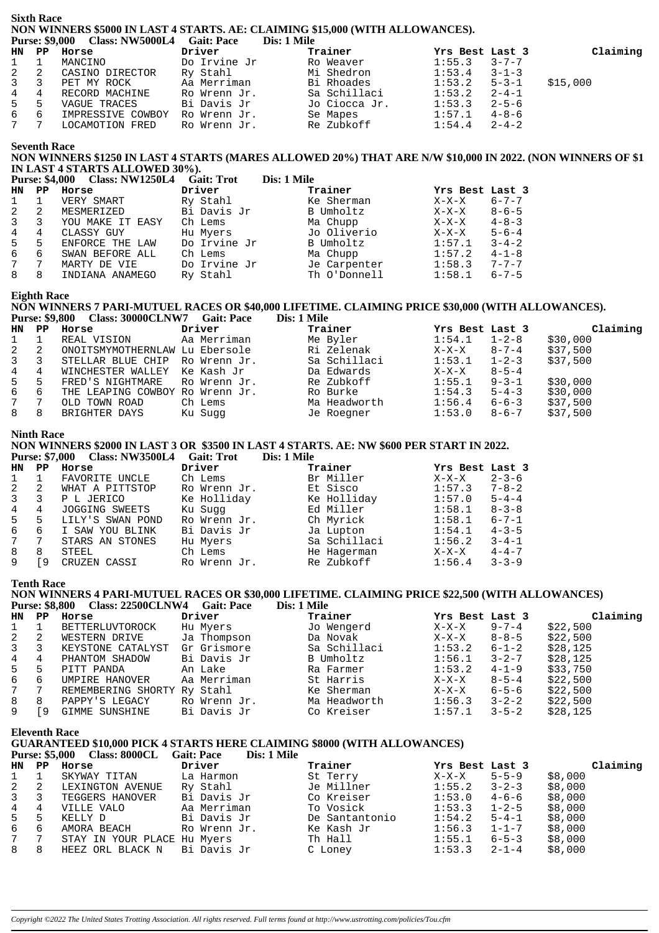# **Sixth Race** NON WINNERS \$5000 IN LAST 4 STARTS. AE: CLAIMING \$15,000 (WITH ALLOWANCES).<br>Purse: \$9,000 Class: NW5000L4 Gait: Pace Dis: 1 Mile

|     |                              | $1 \text{ u}$ sc. $97,000$ Class. In $0.0000$ L+ Gall. I acc DIS. I Fille |               |                  |             |          |
|-----|------------------------------|---------------------------------------------------------------------------|---------------|------------------|-------------|----------|
|     | HN PP Horse                  | Driver                                                                    | Trainer       | Yrs Best Last 3  |             | Claiming |
|     | 1 1 MANCINO                  | Do Irvine Jr                                                              | Ro Weaver     | 1:55.3           | $3 - 7 - 7$ |          |
|     | 2 2 CASINO DIRECTOR          | Ry Stahl                                                                  | Mi Shedron    | $1:53.4$ $3-1-3$ |             |          |
|     | 3 3 PET MY ROCK              | Aa Merriman                                                               | Bi Rhoades    | $1:53.2$ $5-3-1$ |             | \$15,000 |
|     | 4 4 RECORD MACHINE           | Ro Wrenn Jr.                                                              | Sa Schillaci  | $1:53.2$ $2-4-1$ |             |          |
|     | 5 5 VAGUE TRACES             | Bi Davis Jr                                                               | Jo Ciocca Jr. | 1:53.3           | $2 - 5 - 6$ |          |
| 6 6 | IMPRESSIVE COWBOY            | Ro Wrenn Jr.                                                              | Se Mapes      | $1:57.1$ $4-8-6$ |             |          |
| 7 7 | LOCAMOTION FRED Ro Wrenn Jr. |                                                                           | Re Zubkoff    | $1:54.4$ $2-4-2$ |             |          |
|     |                              |                                                                           |               |                  |             |          |

#### **Seventh Race**

#### NON WINNERS \$1250 IN LAST 4 STARTS (MARES ALLOWED 20%) THAT ARE N/W \$10,000 IN 2022. (NON WINNERS OF \$1 IN LAST 4 STARTS ALLOWED 30%).  $\mathbf{D}$  and  $\mathbf{D}$

|                |    | Purse: \$4,000 Class: NW1250L4 Gall: 1 rot |              | DIS: 1 MIIE  |                 |             |
|----------------|----|--------------------------------------------|--------------|--------------|-----------------|-------------|
| <b>HN</b>      | PP | Horse                                      | Driver       | Trainer      | Yrs Best Last 3 |             |
|                |    | VERY SMART                                 | Ry Stahl     | Ke Sherman   | $X-X-X$         | $6 - 7 - 7$ |
|                | -2 | MESMERIZED                                 | Bi Davis Jr  | B Umholtz    | $X-X-X$         | $8 - 6 - 5$ |
|                |    | YOU MAKE IT EASY                           | Ch Lems      | Ma Chupp     | $X-X-X$         | $4 - 8 - 3$ |
| $\overline{4}$ | 4  | CLASSY GUY                                 | Hu Myers     | Jo Oliverio  | X-X-X           | $5 - 6 - 4$ |
| 5              | 5  | ENFORCE THE LAW                            | Do Irvine Jr | B Umholtz    | 1:57.1          | $3 - 4 - 2$ |
| 6              | 6  | SWAN BEFORE ALL                            | Ch Lems      | Ma Chupp     | 1:57.2          | $4 - 1 - 8$ |
| 7              | 7  | MARTY DE VIE                               | Do Irvine Jr | Je Carpenter | 1:58.3          | $7 - 7 - 7$ |
| 8              | 8  | INDIANA ANAMEGO                            | Ry Stahl     | Th O'Donnell | 1:58.1          | $6 - 7 - 5$ |

### **Eighth Race**

#### NON WINNERS 7 PARI-MUTUEL RACES OR \$40,000 LIFETIME. CLAIMING PRICE \$30,000 (WITH ALLOWANCES). Purse: \$9,800 Class: 30000CLNW7 Gait: Pace Dis: 1 Mile

|             | HN PP Horse                         | Driver | Trainer      | Yrs Best Last 3 |                           | Claiming |
|-------------|-------------------------------------|--------|--------------|-----------------|---------------------------|----------|
| $1 \quad 1$ | REAL VISION           Aa Merriman   |        | Me Byler     |                 | $1:54.1$ $1-2-8$          | \$30,000 |
|             | 2 2 ONOITSMYMOTHERNLAW Lu Ebersole  |        | Ri Zelenak   |                 | $X-X-X$ 8-7-4             | \$37,500 |
|             | 3 3 STELLAR BLUE CHIP Ro Wrenn Jr.  |        | Sa Schillaci |                 | $1:53.1$ $1-2-3$ \$37,500 |          |
|             | 4 4 WINCHESTER WALLEY Ke Kash Jr    |        | Da Edwards   | $X-X-X$ 8-5-4   |                           |          |
|             | 5 5 FRED'S NIGHTMARE RO Wrenn Jr.   |        | Re Zubkoff   |                 | $1:55.1$ 9-3-1 \$30,000   |          |
|             | 6 6 THE LEAPING COWBOY Ro Wrenn Jr. |        | Ro Burke     |                 | $1:54.3$ $5-4-3$ \$30,000 |          |
| 7 7         | OLD TOWN ROAD      Ch Lems          |        | Ma Headworth |                 | $1:56.4$ $6-6-3$ \$37,500 |          |
|             | 8 8 BRIGHTER DAYS Ku Suqq           |        | Je Roegner   |                 | $1:53.0$ 8-6-7 \$37,500   |          |

#### **Ninth Race**

# NON WINNERS \$2000 IN LAST 3 OR \$3500 IN LAST 4 STARTS. AE: NW \$600 PER START IN 2022.<br>Purse: \$7,000 Class: NW3500L4 Gait: Trot Dis: 1 Mile

|    |     | <b>FULSE: \$7,000 CRASS: INVERTION-</b> | - Gailt - Ffol | різ: і ічше  |                 |             |
|----|-----|-----------------------------------------|----------------|--------------|-----------------|-------------|
| HN | PP. | Horse                                   | Driver         | Trainer      | Yrs Best Last 3 |             |
|    |     | FAVORITE UNCLE                          | Ch Lems        | Br Miller    | $X-X-X$         | $2 - 3 - 6$ |
|    | -2  | WHAT A PITTSTOP                         | Ro Wrenn Jr.   | Et Sisco     | 1:57.3          | $7 - 8 - 2$ |
|    | 3   | P L JERICO                              | Ke Holliday    | Ke Holliday  | 1:57.0          | $5 - 4 - 4$ |
| 4  | 4   | JOGGING SWEETS                          | Ku Suqq        | Ed Miller    | 1:58.1          | $8 - 3 - 8$ |
| 5  | 5   | LILY'S SWAN POND                        | Ro Wrenn Jr.   | Ch Myrick    | 1:58.1          | 6-7-1       |
| 6  | 6   | I SAW YOU BLINK                         | Bi Davis Jr    | Ja Lupton    | 1:54.1          | $4 - 3 - 5$ |
| 7  | -7  | STARS AN STONES                         | Hu Myers       | Sa Schillaci | 1:56.2          | $3 - 4 - 1$ |
| 8  | 8   | STEEL                                   | Ch Lems        | He Hagerman  | $X-X-X$         | $4 - 4 - 7$ |
| 9  | -9  | CRUZEN CASSI                            | Ro Wrenn Jr.   | Re Zubkoff   | 1:56.4          | $3 - 3 - 9$ |

#### **Tenth Race**

#### NON WINNERS 4 PARI-MUTUEL RACES OR \$30,000 LIFETIME. CLAIMING PRICE \$22,500 (WITH ALLOWANCES)

|              |     | Purse: \$8,800 Class: 22500CLNW4 Gait: Pace |              | Dis: 1 Mile  |                        |          |
|--------------|-----|---------------------------------------------|--------------|--------------|------------------------|----------|
| HN PP        |     | Horse                                       | Driver       | Trainer      | Yrs Best Last 3        | Claiming |
| $\mathbf{1}$ |     | BETTERLUVTOROCK                             | Hu Myers     | Jo Wengerd   | $9 - 7 - 4$<br>$X-X-X$ | \$22,500 |
| 2            | -2  | WESTERN DRIVE                               | Ja Thompson  | Da Novak     | $8 - 8 - 5$<br>$X-X-X$ | \$22,500 |
| $\mathbf{3}$ | 3   | KEYSTONE CATALYST                           | Gr Grismore  | Sa Schillaci | 6-1-2<br>1:53.2        | \$28,125 |
| 4            | 4   | PHANTOM SHADOW                              | Bi Davis Jr  | B Umholtz    | 1:56.1<br>$3 - 2 - 7$  | \$28,125 |
| $5 -$        | 5.  | PITT PANDA                                  | An Lake      | Ra Farmer    | $4 - 1 - 9$<br>1:53.2  | \$33,750 |
| 6            | 6   | UMPIRE HANOVER                              | Aa Merriman  | St Harris    | $8 - 5 - 4$<br>$X-X-X$ | \$22,500 |
| 7            |     | REMEMBERING SHORTY Ry Stahl                 |              | Ke Sherman   | 6-5-6<br>$X-X-X$       | \$22,500 |
| 8            | 8   | PAPPY'S LEGACY                              | Ro Wrenn Jr. | Ma Headworth | 1:56.3<br>$3 - 2 - 2$  | \$22,500 |
| 9            | ſ9. | GIMME SUNSHINE                              | Bi Davis Jr  | Co Kreiser   | 1:57.1<br>$3 - 5 - 2$  | \$28,125 |

#### **Eleventh Race**

### **GUARANTEED \$10,000 PICK 4 STARTS HERE CLAIMING \$8000 (WITH ALLOWANCES)**

#### Purse: \$5,000 Class: 8000CL Gait: Pace Dis: 1 Mile

|                  | HN PP | Horse                          | Driver       | Trainer        | Yrs Best Last 3 |             | Claiming |
|------------------|-------|--------------------------------|--------------|----------------|-----------------|-------------|----------|
| $1 \quad$        |       | SKYWAY TITAN                   | La Harmon    | St Terry       | $X-X-X$         | $5 - 5 - 9$ | \$8,000  |
| $2 \quad 2$      |       | LEXINGTON AVENUE               | Ry Stahl     | Je Millner     | 1:55.2          | $3 - 2 - 3$ | \$8,000  |
| $3 \overline{3}$ |       | TEGGERS HANOVER                | Bi Davis Jr  | Co Kreiser     | 1:53.0          | 4-6-6       | \$8,000  |
| $4 \quad$        | 4     | VILLE VALO                     | Aa Merriman  | To Vosick      | 1:53.3          | $1 - 2 - 5$ | \$8,000  |
| $5^{\circ}$      | -5    | KELLY D                        | Bi Davis Jr  | De Santantonio | 1:54.2          | $5 - 4 - 1$ | \$8,000  |
| 6                | -6    | AMORA BEACH                    | Ro Wrenn Jr. | Ke Kash Jr     | 1:56.3          | $1 - 1 - 7$ | \$8,000  |
| 7                |       | STAY IN YOUR PLACE Hu Myers    |              | Th Hall        | 1:55.1          | $6 - 5 - 3$ | \$8,000  |
| 8 8              |       | HEEZ ORL BLACK N - Bi Davis Jr |              | C Loney        | 1:53.3          | $2 - 1 - 4$ | \$8,000  |